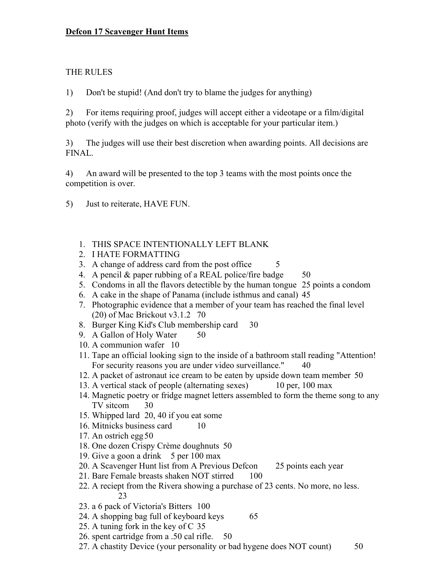## Defcon 17 Scavenger Hunt Items

## THE RULES

1) Don't be stupid! (And don't try to blame the judges for anything)

2) For items requiring proof, judges will accept either a videotape or a film/digital photo (verify with the judges on which is acceptable for your particular item.)

3) The judges will use their best discretion when awarding points. All decisions are FINAL.

4) An award will be presented to the top 3 teams with the most points once the competition is over.

- 5) Just to reiterate, HAVE FUN.
	- 1. THIS SPACE INTENTIONALLY LEFT BLANK
	- 2. I HATE FORMATTING
	- 3. A change of address card from the post office 5
	- 4. A pencil & paper rubbing of a REAL police/fire badge  $50$
	- 5. Condoms in all the flavors detectible by the human tongue 25 points a condom
	- 6. A cake in the shape of Panama (include isthmus and canal) 45
	- 7. Photographic evidence that a member of your team has reached the final level (20) of Mac Brickout v3.1.2 70
	- 8. Burger King Kid's Club membership card 30
	- 9. A Gallon of Holy Water 50
	- 10. A communion wafer 10
	- 11. Tape an official looking sign to the inside of a bathroom stall reading "Attention! For security reasons you are under video surveillance." 40
	- 12. A packet of astronaut ice cream to be eaten by upside down team member 50
	- 13. A vertical stack of people (alternating sexes) 10 per, 100 max
	- 14. Magnetic poetry or fridge magnet letters assembled to form the theme song to any TV sitcom 30
	- 15. Whipped lard 20, 40 if you eat some
	- 16. Mitnicks business card 10
	- 17. An ostrich egg 50
	- 18. One dozen Crispy Crème doughnuts 50
	- 19. Give a goon a drink 5 per 100 max
	- 20. A Scavenger Hunt list from A Previous Defcon 25 points each year
	- 21. Bare Female breasts shaken NOT stirred 100
	- 22. A reciept from the Rivera showing a purchase of 23 cents. No more, no less. 23
	- 23. a 6 pack of Victoria's Bitters 100
	- 24. A shopping bag full of keyboard keys 65
	- 25. A tuning fork in the key of C 35
	- 26. spent cartridge from a .50 cal rifle. 50
	- 27. A chastity Device (your personality or bad hygene does NOT count) 50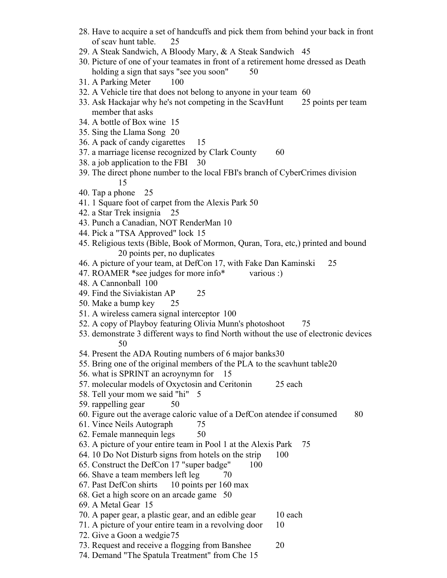- 28. Have to acquire a set of handcuffs and pick them from behind your back in front of scav hunt table. 25
- 29. A Steak Sandwich, A Bloody Mary, & A Steak Sandwich 45
- 30. Picture of one of your teamates in front of a retirement home dressed as Death holding a sign that says "see you soon" 50
- 31. A Parking Meter 100
- 32. A Vehicle tire that does not belong to anyone in your team 60
- 33. Ask Hackajar why he's not competing in the ScavHunt 25 points per team member that asks
- 34. A bottle of Box wine 15
- 35. Sing the Llama Song 20
- 36. A pack of candy cigarettes 15
- 37. a marriage license recognized by Clark County 60
- 38. a job application to the FBI 30
- 39. The direct phone number to the local FBI's branch of CyberCrimes division 15
- 40. Tap a phone 25
- 41. 1 Square foot of carpet from the Alexis Park 50
- 42. a Star Trek insignia 25
- 43. Punch a Canadian, NOT RenderMan 10
- 44. Pick a "TSA Approved" lock 15
- 45. Religious texts (Bible, Book of Mormon, Quran, Tora, etc,) printed and bound 20 points per, no duplicates
- 46. A picture of your team, at DefCon 17, with Fake Dan Kaminski 25
- 47. ROAMER \*see judges for more info\* various :)
- 48. A Cannonball 100
- 49. Find the Siviakistan AP 25
- 50. Make a bump key 25
- 51. A wireless camera signal interceptor 100
- 52. A copy of Playboy featuring Olivia Munn's photoshoot 75
- 53. demonstrate 3 different ways to find North without the use of electronic devices 50
- 54. Present the ADA Routing numbers of 6 major banks30
- 55. Bring one of the original members of the PLA to the scavhunt table20
- 56. what is SPRINT an acroynymn for 15
- 57. molecular models of Oxyctosin and Ceritonin 25 each
- 58. Tell your mom we said "hi" 5
- 59. rappelling gear 50
- 60. Figure out the average caloric value of a DefCon atendee if consumed 80
- 61. Vince Neils Autograph 75
- 62. Female mannequin legs 50
- 63. A picture of your entire team in Pool 1 at the Alexis Park 75
- 64. 10 Do Not Disturb signs from hotels on the strip 100
- 65. Construct the DefCon 17 "super badge" 100
- 66. Shave a team members left leg  $\qquad 70$
- 67. Past DefCon shirts 10 points per 160 max
- 68. Get a high score on an arcade game 50
- 69. A Metal Gear 15
- 70. A paper gear, a plastic gear, and an edible gear 10 each
- 71. A picture of your entire team in a revolving door 10
- 72. Give a Goon a wedgie 75
- 73. Request and receive a flogging from Banshee 20
- 74. Demand "The Spatula Treatment" from Che 15